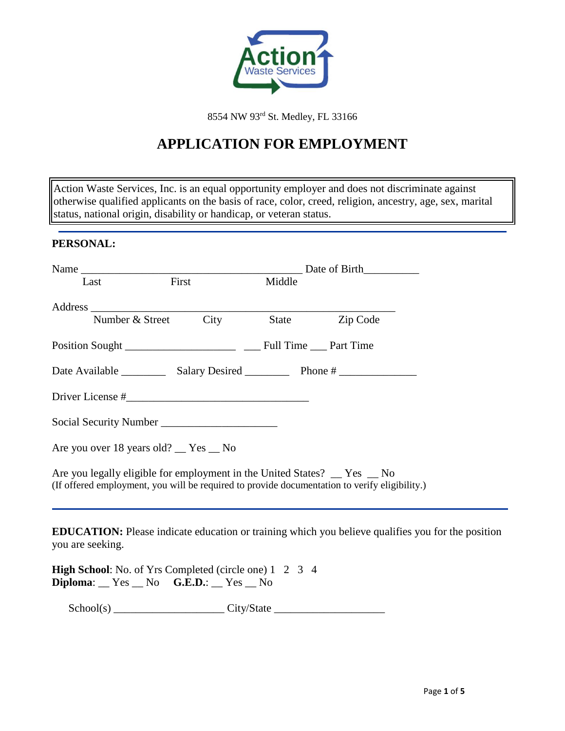

8554 NW 93rd St. Medley, FL 33166

# **APPLICATION FOR EMPLOYMENT**

Action Waste Services, Inc. is an equal opportunity employer and does not discriminate against otherwise qualified applicants on the basis of race, color, creed, religion, ancestry, age, sex, marital status, national origin, disability or handicap, or veteran status.

### **PERSONAL:**

| Last                                                                                                                                                                      | First                | Middle |                |                                                                                                          |
|---------------------------------------------------------------------------------------------------------------------------------------------------------------------------|----------------------|--------|----------------|----------------------------------------------------------------------------------------------------------|
|                                                                                                                                                                           |                      |        |                |                                                                                                          |
|                                                                                                                                                                           | Number & Street City |        | State Zip Code |                                                                                                          |
|                                                                                                                                                                           |                      |        |                |                                                                                                          |
|                                                                                                                                                                           |                      |        |                |                                                                                                          |
|                                                                                                                                                                           |                      |        |                |                                                                                                          |
|                                                                                                                                                                           |                      |        |                |                                                                                                          |
| Are you over 18 years old? __ Yes __ No                                                                                                                                   |                      |        |                |                                                                                                          |
| Are you legally eligible for employment in the United States? _ Yes _ No<br>(If offered employment, you will be required to provide documentation to verify eligibility.) |                      |        |                |                                                                                                          |
| you are seeking.                                                                                                                                                          |                      |        |                | <b>EDUCATION:</b> Please indicate education or training which you believe qualifies you for the position |
| <b>High School:</b> No. of Yrs Completed (circle one) 1 2 3 4<br>$Diploma:$ $Yes$ $No$ $G.E.D.:$ $Yes$ $No$                                                               |                      |        |                |                                                                                                          |

School(s) \_\_\_\_\_\_\_\_\_\_\_\_\_\_\_\_\_\_\_\_ City/State \_\_\_\_\_\_\_\_\_\_\_\_\_\_\_\_\_\_\_\_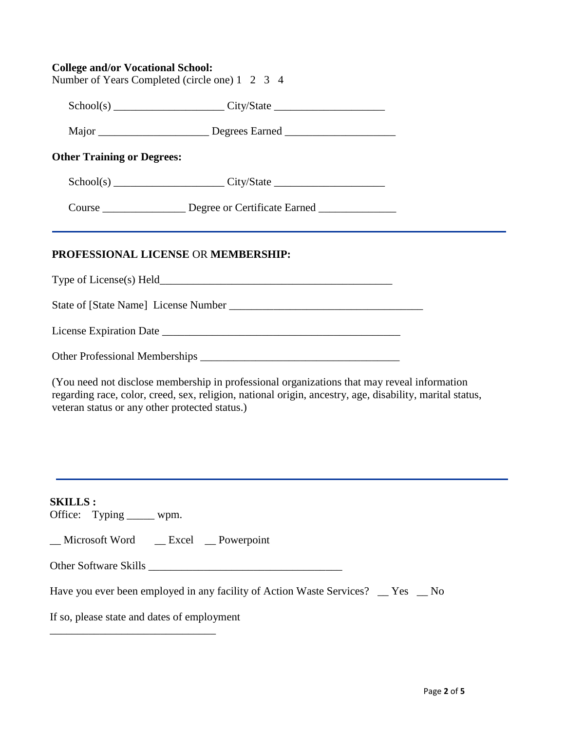| <b>College and/or Vocational School:</b>       |  |  |
|------------------------------------------------|--|--|
| Number of Years Completed (circle one) 1 2 3 4 |  |  |

|                                   | $Sthool(s)$ $\qquad \qquad \qquad \text{City/State}$ |  |
|-----------------------------------|------------------------------------------------------|--|
|                                   |                                                      |  |
| <b>Other Training or Degrees:</b> |                                                      |  |
|                                   | $Sthool(s)$ $City/State$ $City/State$                |  |
|                                   | Degree or Certificate Earned                         |  |

## **PROFESSIONAL LICENSE** OR **MEMBERSHIP:**

Type of License(s) Held\_\_\_\_\_\_\_\_\_\_\_\_\_\_\_\_\_\_\_\_\_\_\_\_\_\_\_\_\_\_\_\_\_\_\_\_\_\_\_\_\_\_

State of [State Name] License Number \_\_\_\_\_\_\_\_\_\_\_\_\_\_\_\_\_\_\_\_\_\_\_\_\_\_\_\_\_\_\_\_\_\_\_

License Expiration Date

| <b>Other Professional Memberships</b> |  |
|---------------------------------------|--|
|                                       |  |

(You need not disclose membership in professional organizations that may reveal information regarding race, color, creed, sex, religion, national origin, ancestry, age, disability, marital status, veteran status or any other protected status.)

**SKILLS :** 

Office: Typing \_\_\_\_\_ wpm.

\_\_ Microsoft Word \_\_ Excel \_\_ Powerpoint

Other Software Skills \_\_\_\_\_\_\_\_\_\_\_\_\_\_\_\_\_\_\_\_\_\_\_\_\_\_\_\_\_\_\_\_\_\_\_

Have you ever been employed in any facility of Action Waste Services? \_\_ Yes \_\_ No

If so, please state and dates of employment

\_\_\_\_\_\_\_\_\_\_\_\_\_\_\_\_\_\_\_\_\_\_\_\_\_\_\_\_\_\_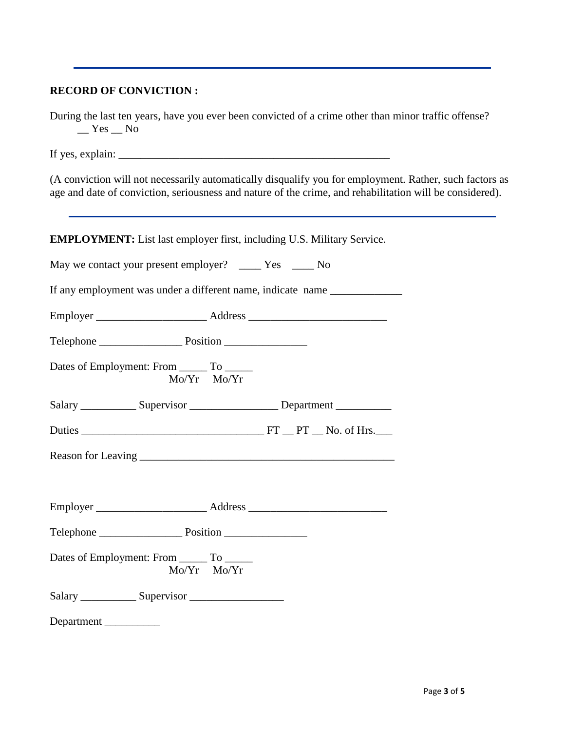# **RECORD OF CONVICTION :**

During the last ten years, have you ever been convicted of a crime other than minor traffic offense?  $Yes$  No

If yes, explain:  $\Box$ 

(A conviction will not necessarily automatically disqualify you for employment. Rather, such factors as age and date of conviction, seriousness and nature of the crime, and rehabilitation will be considered).

**EMPLOYMENT:** List last employer first, including U.S. Military Service.

| May we contact your present employer? _______ Yes ______ No  |                                                                                  |
|--------------------------------------------------------------|----------------------------------------------------------------------------------|
|                                                              | If any employment was under a different name, indicate name ____________________ |
|                                                              |                                                                                  |
|                                                              |                                                                                  |
| Dates of Employment: From _______ To ______<br>Mo/Yr Mo/Yr   |                                                                                  |
|                                                              | Salary ______________ Supervisor ______________________ Department _____________ |
|                                                              |                                                                                  |
|                                                              |                                                                                  |
|                                                              |                                                                                  |
|                                                              |                                                                                  |
|                                                              |                                                                                  |
| Dates of Employment: From ________ To _______<br>Mo/Yr Mo/Yr |                                                                                  |
| Salary Supervisor                                            |                                                                                  |
| Department                                                   |                                                                                  |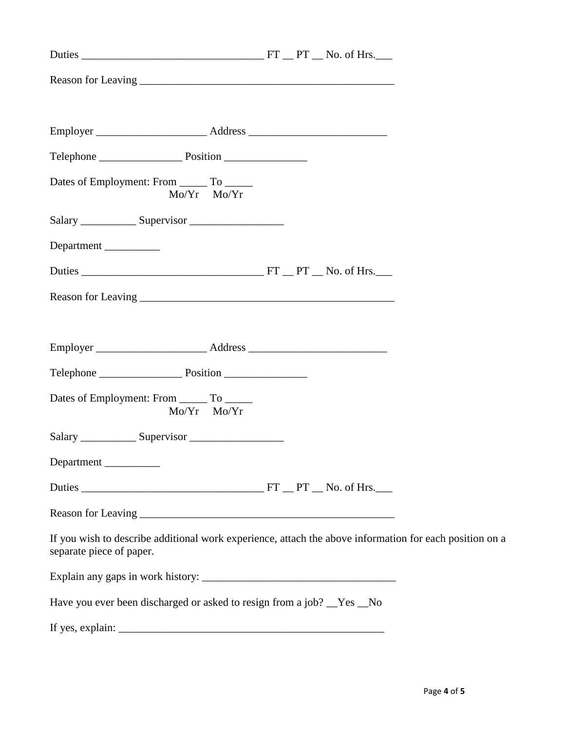| Dates of Employment: From _______ To ______<br>Mo/Yr Mo/Yr                                                                          |  |  |
|-------------------------------------------------------------------------------------------------------------------------------------|--|--|
|                                                                                                                                     |  |  |
| Department                                                                                                                          |  |  |
|                                                                                                                                     |  |  |
|                                                                                                                                     |  |  |
|                                                                                                                                     |  |  |
|                                                                                                                                     |  |  |
|                                                                                                                                     |  |  |
| Dates of Employment: From ________ To _______<br>Mo/Yr Mo/Yr                                                                        |  |  |
|                                                                                                                                     |  |  |
| Department                                                                                                                          |  |  |
|                                                                                                                                     |  |  |
|                                                                                                                                     |  |  |
| If you wish to describe additional work experience, attach the above information for each position on a<br>separate piece of paper. |  |  |
|                                                                                                                                     |  |  |
| Have you ever been discharged or asked to resign from a job? __Yes __No                                                             |  |  |
|                                                                                                                                     |  |  |